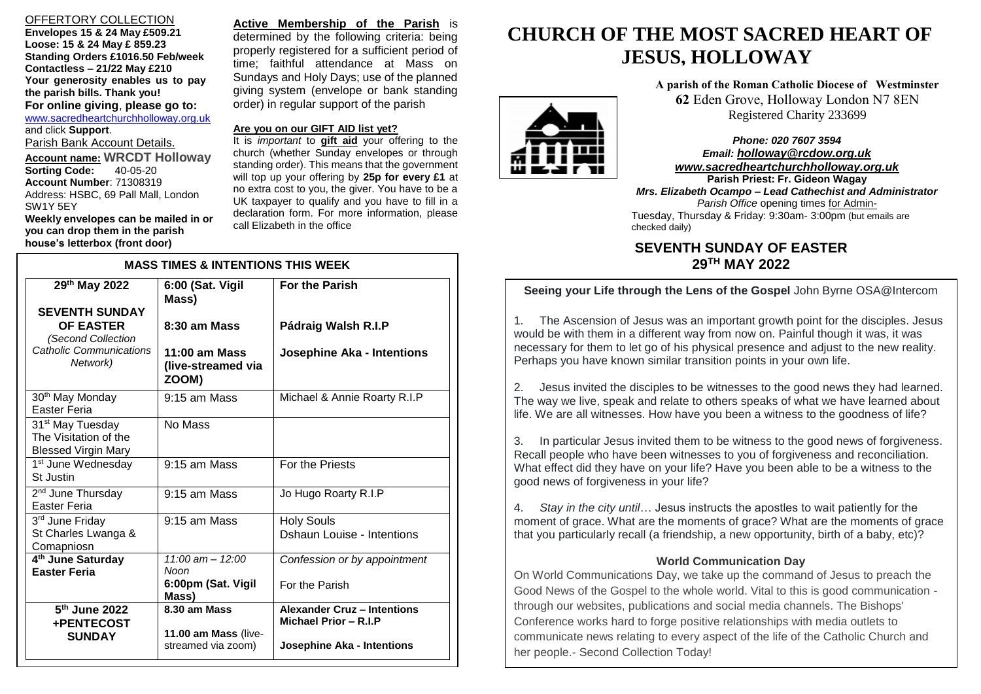# OFFERTORY COLLECTION

**Envelopes 15 & 24 May £509.21 Loose: 15 & 24 May £ 859.23 Standing Orders £1016.50 Feb/week Contactless – 21/22 May £210 Your generosity enables us to pay the parish bills. Thank you! For online giving**, **please go to:** [www.sacredheartchurchholloway.org.uk](http://www.sacredheartchurchholloway.org.uk/) and click **Support**. Parish Bank Account Details. **Account name: WRCDT Holloway Sorting Code: Account Number**: 71308319 Address: HSBC, 69 Pall Mall, London

**Weekly envelopes can be mailed in or you can drop them in the parish house's letterbox (front door)**

SW1Y 5EY

I

**Active Membership of the Parish** is determined by the following criteria: being properly registered for a sufficient period of time; faithful attendance at Mass on Sundays and Holy Days; use of the planned giving system (envelope or bank standing order) in regular support of the parish

# **Are you on our GIFT AID list yet?**

It is *important* to **gift aid** your offering to the church (whether Sunday envelopes or through standing order). This means that the government will top up your offering by **25p for every £1** at no extra cost to you, the giver. You have to be a UK taxpayer to qualify and you have to fill in a declaration form. For more information, please call Elizabeth in the office

| <b>MASS TIMES &amp; INTENTIONS THIS WEEK</b>                                        |                                                    |                                                        |
|-------------------------------------------------------------------------------------|----------------------------------------------------|--------------------------------------------------------|
| 29th May 2022                                                                       | 6:00 (Sat. Vigil<br>Mass)                          | <b>For the Parish</b>                                  |
| <b>SEVENTH SUNDAY</b><br><b>OF EASTER</b><br>(Second Collection                     | 8:30 am Mass                                       | Pádraig Walsh R.I.P                                    |
| Catholic Communications<br>Network)                                                 | $11:00$ am Mass<br>(live-streamed via<br>ZOOM)     | <b>Josephine Aka - Intentions</b>                      |
| 30 <sup>th</sup> May Monday<br>Easter Feria                                         | 9:15 am Mass                                       | Michael & Annie Roarty R.I.P                           |
| 31 <sup>st</sup> May Tuesday<br>The Visitation of the<br><b>Blessed Virgin Mary</b> | No Mass                                            |                                                        |
| 1 <sup>st</sup> June Wednesday<br>St Justin                                         | 9:15 am Mass                                       | For the Priests                                        |
| 2 <sup>nd</sup> June Thursday<br>Easter Feria                                       | 9:15 am Mass                                       | Jo Hugo Roarty R.I.P                                   |
| 3rd June Friday<br>St Charles Lwanga &<br>Comapniosn                                | 9:15 am Mass                                       | <b>Holy Souls</b><br><b>Dshaun Louise - Intentions</b> |
| 4 <sup>th</sup> June Saturday<br><b>Easter Feria</b>                                | $11:00$ am $- 12:00$<br>Noon<br>6:00pm (Sat. Vigil | Confession or by appointment<br>For the Parish         |
| 5 <sup>th</sup> June 2022<br>+PENTECOST                                             | Mass)<br>$8.30$ am Mass                            | Alexander Cruz - Intentions<br>Michael Prior - R.I.P   |
| <b>SUNDAY</b>                                                                       | 11.00 am Mass (live-<br>streamed via zoom)         | Josephine Aka - Intentions                             |

# **CHURCH OF THE MOST SACRED HEART OF JESUS, HOLLOWAY**

**A parish of the Roman Catholic Diocese of Westminster 62** Eden Grove, Holloway London N7 8EN Registered Charity 233699

*Phone: 020 7607 3594 Email: [holloway@rcdow.org.uk](mailto:holloway@rcdow.org.uk) www.sacredheartchurchholloway.org.uk*

 Tuesday, Thursday & Friday: 9:30am- 3:00pm (but emails are **Parish Priest: Fr. Gideon Wagay** *Mrs. Elizabeth Ocampo – Lead Cathechist and Administrator Parish Office* opening times for Adminchecked daily)

# **SEVENTH SUNDAY OF EASTER 29 TH MAY 2022**

# **Seeing your Life through the Lens of the Gospel John Byrne OSA@Intercom**

1. The Ascension of Jesus was an important growth point for the disciples. Jesus would be with them in a different way from now on. Painful though it was, it was necessary for them to let go of his physical presence and adjust to the new reality. Perhaps you have known similar transition points in your own life.

2. Jesus invited the disciples to be witnesses to the good news they had learned. The way we live, speak and relate to others speaks of what we have learned about life. We are all witnesses. How have you been a witness to the goodness of life?

3. In particular Jesus invited them to be witness to the good news of forgiveness. Recall people who have been witnesses to you of forgiveness and reconciliation. What effect did they have on your life? Have you been able to be a witness to the good news of forgiveness in your life?

4. *Stay in the city until*… Jesus instructs the apostles to wait patiently for the moment of grace. What are the moments of grace? What are the moments of grace that you particularly recall (a friendship, a new opportunity, birth of a baby, etc)?

# **World Communication Day**

On World Communications Day, we take up the command of Jesus to preach the Good News of the Gospel to the whole world. Vital to this is good communication through our websites, publications and social media channels. The Bishops' Conference works hard to forge positive relationships with media outlets to communicate news relating to every aspect of the life of the Catholic Church and her people.- Second Collection Today!